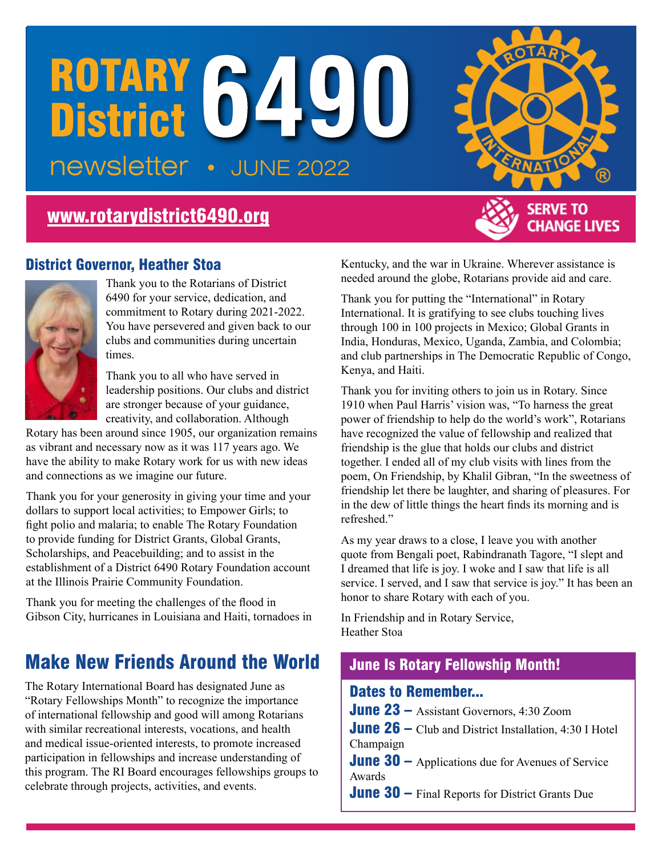# ROTARY 6490 • JUNE 2022

## [www.rotarydistrict6490.org](http://www.rotarydistrict6490.org)

## **SERVE TO CHANGE LIVES**

### District Governor, Heather Stoa



Thank you to the Rotarians of District 6490 for your service, dedication, and commitment to Rotary during 2021-2022. You have persevered and given back to our clubs and communities during uncertain times.

Thank you to all who have served in leadership positions. Our clubs and district are stronger because of your guidance, creativity, and collaboration. Although

Rotary has been around since 1905, our organization remains as vibrant and necessary now as it was 117 years ago. We have the ability to make Rotary work for us with new ideas and connections as we imagine our future.

Thank you for your generosity in giving your time and your dollars to support local activities; to Empower Girls; to fight polio and malaria; to enable The Rotary Foundation to provide funding for District Grants, Global Grants, Scholarships, and Peacebuilding; and to assist in the establishment of a District 6490 Rotary Foundation account at the Illinois Prairie Community Foundation.

Thank you for meeting the challenges of the flood in Gibson City, hurricanes in Louisiana and Haiti, tornadoes in

## Make New Friends Around the World June Is Rotary Fellowship Month!

The Rotary International Board has designated June as "Rotary Fellowships Month" to recognize the importance of international fellowship and good will among Rotarians with similar recreational interests, vocations, and health and medical issue-oriented interests, to promote increased participation in fellowships and increase understanding of this program. The RI Board encourages fellowships groups to celebrate through projects, activities, and events.

Kentucky, and the war in Ukraine. Wherever assistance is needed around the globe, Rotarians provide aid and care.

Thank you for putting the "International" in Rotary International. It is gratifying to see clubs touching lives through 100 in 100 projects in Mexico; Global Grants in India, Honduras, Mexico, Uganda, Zambia, and Colombia; and club partnerships in The Democratic Republic of Congo, Kenya, and Haiti.

Thank you for inviting others to join us in Rotary. Since 1910 when Paul Harris' vision was, "To harness the great power of friendship to help do the world's work", Rotarians have recognized the value of fellowship and realized that friendship is the glue that holds our clubs and district together. I ended all of my club visits with lines from the poem, On Friendship, by Khalil Gibran, "In the sweetness of friendship let there be laughter, and sharing of pleasures. For in the dew of little things the heart finds its morning and is refreshed."

As my year draws to a close, I leave you with another quote from Bengali poet, Rabindranath Tagore, "I slept and I dreamed that life is joy. I woke and I saw that life is all service. I served, and I saw that service is joy." It has been an honor to share Rotary with each of you.

In Friendship and in Rotary Service, Heather Stoa

#### Dates to Remember...

June 23 – Assistant Governors, 4:30 Zoom

**June 26** – Club and District Installation,  $4:30$  I Hotel Champaign

**June 30** – Applications due for Avenues of Service Awards

June 30 – Final Reports for District Grants Due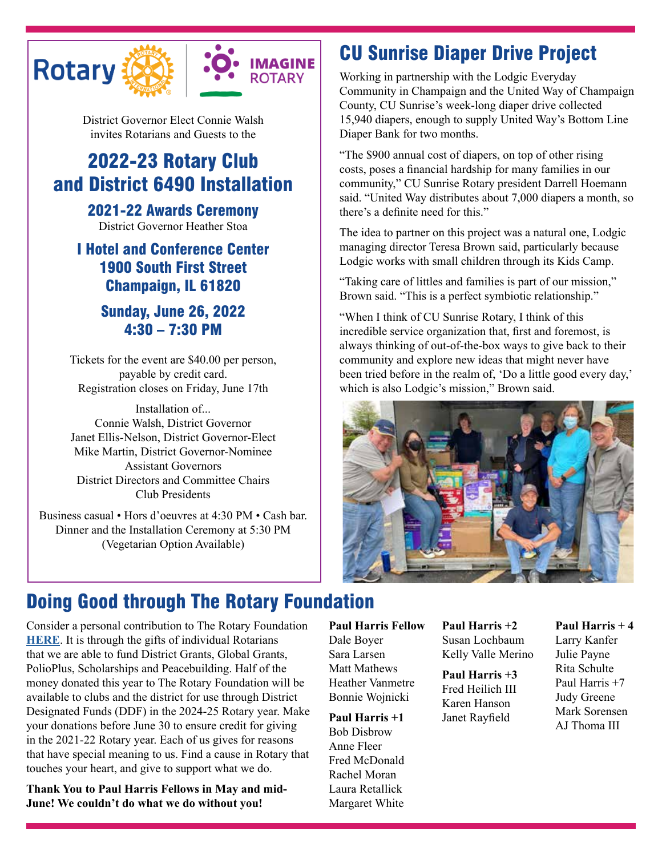



District Governor Elect Connie Walsh invites Rotarians and Guests to the

## 2022-23 Rotary Club and District 6490 Installation

2021-22 Awards Ceremony

District Governor Heather Stoa

## I Hotel and Conference Center 1900 South First Street Champaign, IL 61820

## Sunday, June 26, 2022 4:30 – 7:30 PM

Tickets for the event are \$40.00 per person, payable by credit card. Registration closes on Friday, June 17th

Installation of... Connie Walsh, District Governor Janet Ellis-Nelson, District Governor-Elect Mike Martin, District Governor-Nominee Assistant Governors District Directors and Committee Chairs Club Presidents

Business casual • Hors d'oeuvres at 4:30 PM • Cash bar. Dinner and the Installation Ceremony at 5:30 PM (Vegetarian Option Available)

## CU Sunrise Diaper Drive Project

Working in partnership with the Lodgic Everyday Community in Champaign and the United Way of Champaign County, CU Sunrise's week-long diaper drive collected 15,940 diapers, enough to supply United Way's Bottom Line Diaper Bank for two months.

"The \$900 annual cost of diapers, on top of other rising costs, poses a financial hardship for many families in our community," CU Sunrise Rotary president Darrell Hoemann said. "United Way distributes about 7,000 diapers a month, so there's a definite need for this."

The idea to partner on this project was a natural one, Lodgic managing director Teresa Brown said, particularly because Lodgic works with small children through its Kids Camp.

"Taking care of littles and families is part of our mission," Brown said. "This is a perfect symbiotic relationship."

"When I think of CU Sunrise Rotary, I think of this incredible service organization that, first and foremost, is always thinking of out-of-the-box ways to give back to their community and explore new ideas that might never have been tried before in the realm of, 'Do a little good every day,' which is also Lodgic's mission," Brown said.



## Doing Good through The Rotary Foundation

Consider a personal contribution to The Rotary Foundation **[HERE](https://www.rotary.org/en/donate)**. It is through the gifts of individual Rotarians that we are able to fund District Grants, Global Grants, PolioPlus, Scholarships and Peacebuilding. Half of the money donated this year to The Rotary Foundation will be available to clubs and the district for use through District Designated Funds (DDF) in the 2024-25 Rotary year. Make your donations before June 30 to ensure credit for giving in the 2021-22 Rotary year. Each of us gives for reasons that have special meaning to us. Find a cause in Rotary that touches your heart, and give to support what we do.

**Thank You to Paul Harris Fellows in May and mid-June! We couldn't do what we do without you!**

#### **Paul Harris Fellow**

Dale Boyer Sara Larsen Matt Mathews Heather Vanmetre Bonnie Wojnicki

**Paul Harris +1** Bob Disbrow Anne Fleer Fred McDonald Rachel Moran Laura Retallick Margaret White **Paul Harris +2** Susan Lochbaum Kelly Valle Merino

**Paul Harris +3** Fred Heilich III Karen Hanson Janet Rayfield

**Paul Harris + 4** Larry Kanfer Julie Payne Rita Schulte Paul Harris +7 Judy Greene Mark Sorensen AJ Thoma III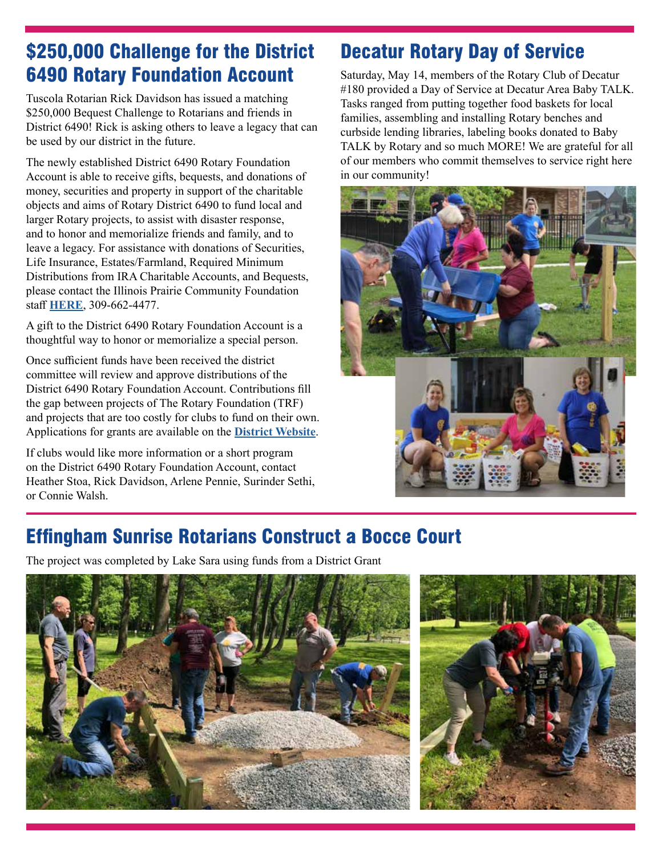## \$250,000 Challenge for the District 6490 Rotary Foundation Account

Tuscola Rotarian Rick Davidson has issued a matching \$250,000 Bequest Challenge to Rotarians and friends in District 6490! Rick is asking others to leave a legacy that can be used by our district in the future.

The newly established District 6490 Rotary Foundation Account is able to receive gifts, bequests, and donations of money, securities and property in support of the charitable objects and aims of Rotary District 6490 to fund local and larger Rotary projects, to assist with disaster response, and to honor and memorialize friends and family, and to leave a legacy. For assistance with donations of Securities, Life Insurance, Estates/Farmland, Required Minimum Distributions from IRA Charitable Accounts, and Bequests, please contact the Illinois Prairie Community Foundation staff **[HERE](https://ilprairiecf.org/)**, 309-662-4477.

A gift to the District 6490 Rotary Foundation Account is a thoughtful way to honor or memorialize a special person.

Once sufficient funds have been received the district committee will review and approve distributions of the District 6490 Rotary Foundation Account. Contributions fill the gap between projects of The Rotary Foundation (TRF) and projects that are too costly for clubs to fund on their own. Applications for grants are available on the **[District Website](https://www.rotarydistrict6490.org/)**.

If clubs would like more information or a short program on the District 6490 Rotary Foundation Account, contact Heather Stoa, Rick Davidson, Arlene Pennie, Surinder Sethi, or Connie Walsh.

## Decatur Rotary Day of Service

Saturday, May 14, members of the Rotary Club of Decatur #180 provided a Day of Service at Decatur Area Baby TALK. Tasks ranged from putting together food baskets for local families, assembling and installing Rotary benches and curbside lending libraries, labeling books donated to Baby TALK by Rotary and so much MORE! We are grateful for all of our members who commit themselves to service right here in our community!



## Effingham Sunrise Rotarians Construct a Bocce Court

The project was completed by Lake Sara using funds from a District Grant



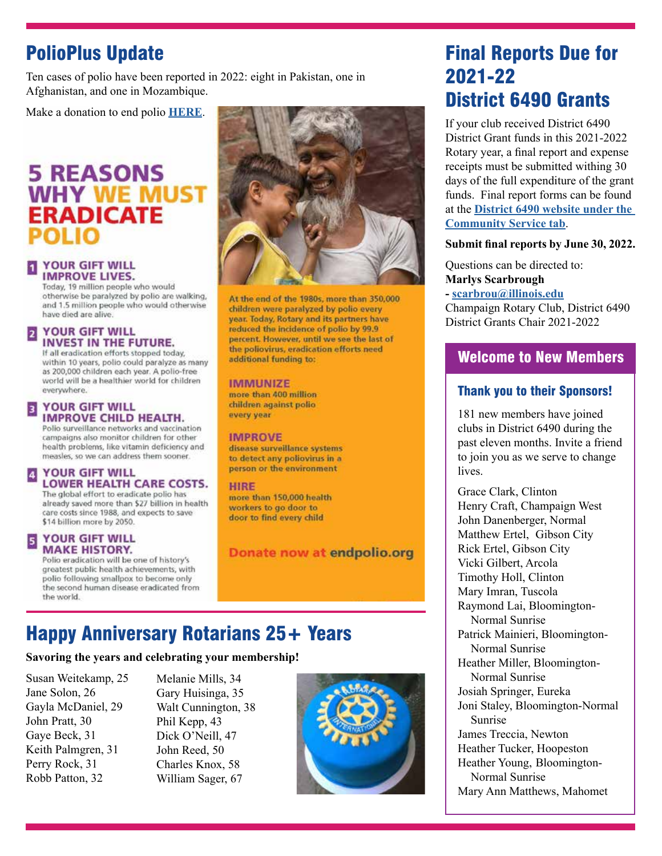## PolioPlus Update

Ten cases of polio have been reported in 2022: eight in Pakistan, one in Afghanistan, and one in Mozambique.

Make a donation to end polio **[HERE](https://endpolio.org/donate)**.

## **5 REASONS WHY WE MUST ERADICATE**

#### **YOUR GIFT WILL IMPROVE LIVES.**

Today, 19 million people who would otherwise be paralyzed by polio are walking, and 1.5 million people who would otherwise have died are alive.

#### YOUR GIFT WILL **INVEST IN THE FUTURE.**

If all eradication efforts stopped today, within 10 years, polio could paralyze as many as 200,000 children each year. A pollo-free world will be a healthier world for children everywhere.

#### 3 **YOUR GIFT WILL IMPROVE CHILD HEALTH.**

Polio surveillance networks and vaccination campaigns also monitor children for other health problems, like vitamin deficiency and measles, so we can address them sooner.

#### **YOUR GIFT WILL**  $\blacktriangleleft$ **LOWER HEALTH CARE COSTS.**

The global effort to eradicate polio has already saved more than \$27 billion in health care costs since 1988, and expects to save \$14 billion more by 2050.

#### **YOUR GIFT WILL MAKE HISTORY.**

Polio eradication will be one of history's greatest public health achievements, with polio following smallpox to become only the second human disease eradicated from the world.



At the end of the 1980s, more than 350,000 children were paralyzed by polio every year. Today, Rotary and its partners have reduced the incidence of polio by 99.9 percent. However, until we see the last of the poliovirus, eradication efforts need additional funding to:

#### **IMMUNIZE**

more than 400 million children against polio every year

#### **IMPROVE**

disease surveillance systems to detect any poliovirus in a person or the environment

**HIRE** more than 150,000 health workers to go door to door to find every child

Donate now at endpolio.org

## Happy Anniversary Rotarians 25+ Years

#### **Savoring the years and celebrating your membership!**

Susan Weitekamp, 25 Jane Solon, 26 Gayla McDaniel, 29 John Pratt, 30 Gaye Beck, 31 Keith Palmgren, 31 Perry Rock, 31 Robb Patton, 32

Melanie Mills, 34 Gary Huisinga, 35 Walt Cunnington, 38 Phil Kepp, 43 Dick O'Neill, 47 John Reed, 50 Charles Knox, 58 William Sager, 67



## Final Reports Due for 2021-22 District 6490 Grants

If your club received District 6490 District Grant funds in this 2021-2022 Rotary year, a final report and expense receipts must be submitted withing 30 days of the full expenditure of the grant funds. Final report forms can be found at the **[District 6490 website under the](http://District 6490 website under the Community Service tab)  [Community Service tab](http://District 6490 website under the Community Service tab)**.

#### **Submit final reports by June 30, 2022.**

Questions can be directed to: **Marlys Scarbrough** 

**- [scarbrou@illinois.edu](mailto:scarbrou@illinois.edu)** Champaign Rotary Club, District 6490

District Grants Chair 2021-2022

#### Welcome to New Members

#### Thank you to their Sponsors!

181 new members have joined clubs in District 6490 during the past eleven months. Invite a friend to join you as we serve to change lives.

Grace Clark, Clinton Henry Craft, Champaign West John Danenberger, Normal Matthew Ertel, Gibson City Rick Ertel, Gibson City Vicki Gilbert, Arcola Timothy Holl, Clinton Mary Imran, Tuscola Raymond Lai, Bloomington-Normal Sunrise Patrick Mainieri, Bloomington-Normal Sunrise Heather Miller, Bloomington-Normal Sunrise Josiah Springer, Eureka Joni Staley, Bloomington-Normal Sunrise James Treccia, Newton Heather Tucker, Hoopeston Heather Young, Bloomington-Normal Sunrise Mary Ann Matthews, Mahomet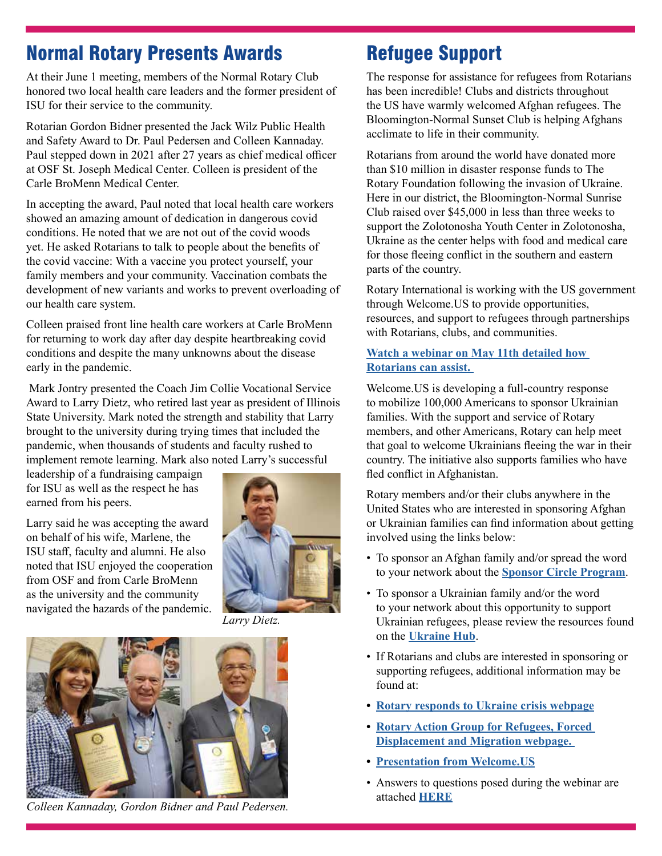## Normal Rotary Presents Awards

At their June 1 meeting, members of the Normal Rotary Club honored two local health care leaders and the former president of ISU for their service to the community.

Rotarian Gordon Bidner presented the Jack Wilz Public Health and Safety Award to Dr. Paul Pedersen and Colleen Kannaday. Paul stepped down in 2021 after 27 years as chief medical officer at OSF St. Joseph Medical Center. Colleen is president of the Carle BroMenn Medical Center.

In accepting the award, Paul noted that local health care workers showed an amazing amount of dedication in dangerous covid conditions. He noted that we are not out of the covid woods yet. He asked Rotarians to talk to people about the benefits of the covid vaccine: With a vaccine you protect yourself, your family members and your community. Vaccination combats the development of new variants and works to prevent overloading of our health care system.

Colleen praised front line health care workers at Carle BroMenn for returning to work day after day despite heartbreaking covid conditions and despite the many unknowns about the disease early in the pandemic.

 Mark Jontry presented the Coach Jim Collie Vocational Service Award to Larry Dietz, who retired last year as president of Illinois State University. Mark noted the strength and stability that Larry brought to the university during trying times that included the pandemic, when thousands of students and faculty rushed to implement remote learning. Mark also noted Larry's successful

leadership of a fundraising campaign for ISU as well as the respect he has earned from his peers.

Larry said he was accepting the award on behalf of his wife, Marlene, the ISU staff, faculty and alumni. He also noted that ISU enjoyed the cooperation from OSF and from Carle BroMenn as the university and the community navigated the hazards of the pandemic.



*Larry Dietz.* 



*Colleen Kannaday, Gordon Bidner and Paul Pedersen.* 

## Refugee Support

The response for assistance for refugees from Rotarians has been incredible! Clubs and districts throughout the US have warmly welcomed Afghan refugees. The Bloomington-Normal Sunset Club is helping Afghans acclimate to life in their community.

Rotarians from around the world have donated more than \$10 million in disaster response funds to The Rotary Foundation following the invasion of Ukraine. Here in our district, the Bloomington-Normal Sunrise Club raised over \$45,000 in less than three weeks to support the Zolotonosha Youth Center in Zolotonosha, Ukraine as the center helps with food and medical care for those fleeing conflict in the southern and eastern parts of the country.

Rotary International is working with the US government through Welcome.US to provide opportunities, resources, and support to refugees through partnerships with Rotarians, clubs, and communities.

#### **[Watch a webinar on May 11th detailed how](https://rotary-org.zoom.us/rec/play/JQ4RvrQkkk4O8Auk8S8nsYkGM3Rnend-Da5qLEW85d_ICW2RfR_IP99asa-dD0g7n3lM-HTMlKa9Lwez.86BY-M9-ElMI2hI0?continueMode=true&_x_zm_rtaid=HKysQfgMTaOYCywiTT8k3w.1655102828594.3370b028de89e9a012b276d8b18d963d&_x_zm_rhtaid=690)  [Rotarians can assist.](https://rotary-org.zoom.us/rec/play/JQ4RvrQkkk4O8Auk8S8nsYkGM3Rnend-Da5qLEW85d_ICW2RfR_IP99asa-dD0g7n3lM-HTMlKa9Lwez.86BY-M9-ElMI2hI0?continueMode=true&_x_zm_rtaid=HKysQfgMTaOYCywiTT8k3w.1655102828594.3370b028de89e9a012b276d8b18d963d&_x_zm_rhtaid=690)**

Welcome.US is developing a full-country response to mobilize 100,000 Americans to sponsor Ukrainian families. With the support and service of Rotary members, and other Americans, Rotary can help meet that goal to welcome Ukrainians fleeing the war in their country. The initiative also supports families who have fled conflict in Afghanistan.

Rotary members and/or their clubs anywhere in the United States who are interested in sponsoring Afghan or Ukrainian families can find information about getting involved using the links below:

- To sponsor an Afghan family and/or spread the word to your network about the **[Sponsor Circle Program](https://www.sponsorcircles.org)**.
- To sponsor a Ukrainian family and/or the word to your network about this opportunity to support Ukrainian refugees, please review the resources found on the **[Ukraine Hub](https://ukraine.welcome.us/)**.
- If Rotarians and clubs are interested in sponsoring or supporting refugees, additional information may be found at:
- **• [Rotary responds to Ukraine crisis webpage](https://www.rotary.org/en/rotary-responds-ukraine-crisis)**
- **• [Rotary Action Group for Refugees, Forced](https://www.ragforrefugees.org/)  [Displacement and Migration webpage.](https://www.ragforrefugees.org/)**
- **• [Presentation from Welcome.US](https://msgfocus.rotary.org/files/amf_highroad_solution/user_2360/Refugee_Webinar/Welcome.US_presentation_for_Rotary.pdf)**
- Answers to questions posed during the webinar are attached **[HERE](https://msgfocus.rotary.org/files/amf_highroad_solution/user_2360/Refugee_Webinar/Q_A_from_resource_webinar_on_welcoming_refugees.pdf)**